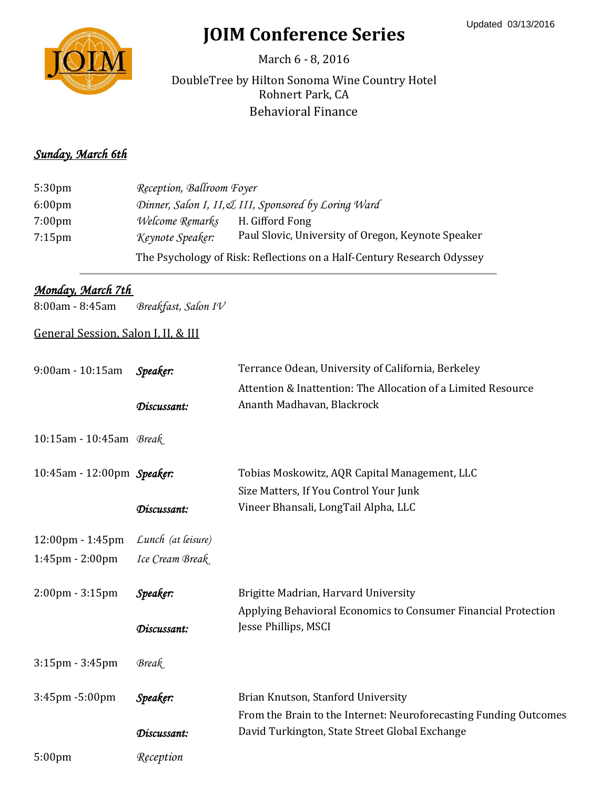

# **JOIM Conference Series**

March 6 - 8, 2016

Rohnert Park, CA Behavioral Finance DoubleTree by Hilton Sonoma Wine Country Hotel

#### *Sunday, March 6th*

| 5:30 <sub>pm</sub> | Reception, Ballroom Foyer                            |                                                                        |  |
|--------------------|------------------------------------------------------|------------------------------------------------------------------------|--|
| 6:00 <sub>pm</sub> | Dinner, Salon I, II, & III, Sponsored by Loring Ward |                                                                        |  |
| $7:00 \text{pm}$   | Welcome Remarks                                      | H. Gifford Fong                                                        |  |
| $7:15$ pm          | Keynote Speaker:                                     | Paul Slovic, University of Oregon, Keynote Speaker                     |  |
|                    |                                                      | The Psychology of Risk: Reflections on a Half-Century Research Odyssey |  |

### *Monday, March 7th*

8:00am - 8:45am *Breakfast, Salon IV*

### General Session, Salon I, II, & III

| 9:00am - 10:15am                  | Speaker:           | Terrance Odean, University of California, Berkeley<br>Attention & Inattention: The Allocation of a Limited Resource |
|-----------------------------------|--------------------|---------------------------------------------------------------------------------------------------------------------|
|                                   | Discussant:        | Ananth Madhavan, Blackrock                                                                                          |
| 10:15am - 10:45am Break           |                    |                                                                                                                     |
| 10:45am - 12:00pm Speaker:        |                    | Tobias Moskowitz, AQR Capital Management, LLC                                                                       |
|                                   |                    | Size Matters, If You Control Your Junk                                                                              |
|                                   | Discussant:        | Vineer Bhansali, LongTail Alpha, LLC                                                                                |
| 12:00pm - 1:45pm                  | Lunch (at leisure) |                                                                                                                     |
| $1:45$ pm - $2:00$ pm             | Ice Cream Break    |                                                                                                                     |
| $2:00 \text{pm} - 3:15 \text{pm}$ | Speaker:           | Brigitte Madrian, Harvard University                                                                                |
|                                   |                    | Applying Behavioral Economics to Consumer Financial Protection                                                      |
|                                   | Discussant:        | Jesse Phillips, MSCI                                                                                                |
| $3:15$ pm - $3:45$ pm             | Break              |                                                                                                                     |
| 3:45pm -5:00pm                    | Speaker:           | Brian Knutson, Stanford University                                                                                  |
|                                   |                    | From the Brain to the Internet: Neuroforecasting Funding Outcomes                                                   |
|                                   | Discussant:        | David Turkington, State Street Global Exchange                                                                      |
| 5:00pm                            | Reception          |                                                                                                                     |
|                                   |                    |                                                                                                                     |